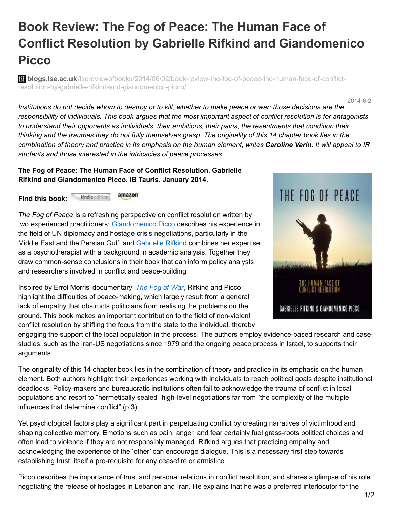## **Book Review: The Fog of Peace: The Human Face of Conflict Resolution by Gabrielle Rifkind and Giandomenico Picco**

**blogs.lse.ac.uk**[/lsereviewofbooks/2014/06/02/book-review-the-fog-of-peace-the-human-face-of-conflict](http://blogs.lse.ac.uk/lsereviewofbooks/2014/06/02/book-review-the-fog-of-peace-the-human-face-of-conflict-resolution-by-gabrielle-rifkind-and-giandomenico-picco/)resolution-by-gabrielle-rifkind-and-giandomenico-picco/

2014-6-2

Institutions do not decide whom to destroy or to kill, whether to make peace or war; those decisions are the responsibility of individuals. This book argues that the most important aspect of conflict resolution is for antagonists *to understand their opponents as individuals, their ambitions, their pains, the resentments that condition their* thinking and the traumas they do not fully themselves grasp. The originality of this 14 chapter book lies in the combination of theory and practice in its emphasis on the human element, writes Caroline Varin. It will appeal to IR *students and those interested in the intricacies of peace processes.*

## **The Fog of Peace: The Human Face of Conflict Resolution. Gabrielle Rifkind and Giandomenico Picco. IB Tauris. January 2014.**

amazon **Find this book:**

*The Fog of Peace* is a refreshing perspective on conflict resolution written by two experienced practitioners: [Giandomenico](http://www.oxfordresearchgroup.org.uk/people/gianni_picco) Picco describes his experience in the field of UN diplomacy and hostage crisis negotiations, particularly in the Middle East and the Persian Gulf, and [Gabrielle](http://www.oxfordresearchgroup.org.uk/people/gabrielle_rifkind) Rifkind combines her expertise as a psychotherapist with a background in academic analysis. Together they draw common-sense conclusions in their book that can inform policy analysts and researchers involved in conflict and peace-building.

Inspired by Errol Morris' documentary *The Fog of [War](http://www.amazon.co.uk/gp/product/B0002849HA/ref=as_li_qf_sp_asin_il_tl?ie=UTF8&camp=1634&creative=6738&creativeASIN=B0002849HA&linkCode=as2&tag=lsreofbo-21)*, Rifkind and Picco highlight the difficulties of peace-making, which largely result from a general lack of empathy that obstructs politicians from realising the problems on the ground. This book makes an important contribution to the field of non-violent conflict resolution by shifting the focus from the state to the individual, thereby



engaging the support of the local population in the process. The authors employ evidence-based research and casestudies, such as the Iran-US negotiations since 1979 and the ongoing peace process in Israel, to supports their arguments.

The originality of this 14 chapter book lies in the combination of theory and practice in its emphasis on the human element. Both authors highlight their experiences working with individuals to reach political goals despite institutional deadlocks. Policy-makers and bureaucratic institutions often fail to acknowledge the trauma of conflict in local populations and resort to "hermetically sealed" high-level negotiations far from "the complexity of the multiple influences that determine conflict" (p.3).

Yet psychological factors play a significant part in perpetuating conflict by creating narratives of victimhood and shaping collective memory. Emotions such as pain, anger, and fear certainly fuel grass-roots political choices and often lead to violence if they are not responsibly managed. Rifkind argues that practicing empathy and acknowledging the experience of the 'other' can encourage dialogue. This is a necessary first step towards establishing trust, itself a pre-requisite for any ceasefire or armistice.

Picco describes the importance of trust and personal relations in conflict resolution, and shares a glimpse of his role negotiating the release of hostages in Lebanon and Iran. He explains that he was a preferred interlocutor for the